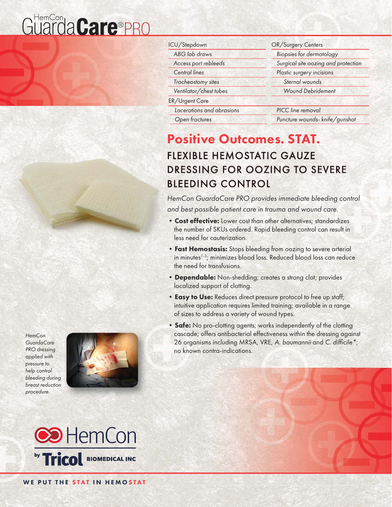# Guarda Care®PRO

| HemCon            |
|-------------------|
| <b>GuardaCare</b> |
| PRO dressing      |
| applied with      |
| pressure to       |
| help control      |
| bleeding during   |
| breast reduction  |

procedure.



| ICU/Stepdown              | OR/Surgery Centers                  |  |
|---------------------------|-------------------------------------|--|
| ABG lab draws             | <b>Biopsies for dermatology</b>     |  |
| Access port rebleeds      | Surgical site oozing and protection |  |
| <b>Central lines</b>      | Plastic surgery incisions           |  |
| Tracheostomy sites        | Sternal wounds                      |  |
| Ventilator/chest tubes    | <b>Wound Debridement</b>            |  |
| ER/Urgent Care            |                                     |  |
| Lacerations and abrasions | PICC line removal                   |  |
| Open fractures            | Puncture wounds- knife/gunshot      |  |

## Positive Outcomes. STAT. **FLEXIBLE HEMOSTATIC GAUZE** DRESSING FOR OOZING TO SEVERE **BLEEDING CONTROL**

HemCon GuardaCare PRO provides immediate bleeding control and best possible patient care in trauma and wound care.

- Cost effective: Lower cost than other alternatives; standardizes the number of SKUs ordered. Rapid bleeding control can result in less need for cauterization.
- Fast Hemostasis: Stops bleeding from oozing to severe arterial in minutes<sup>1-3</sup>; minimizes blood loss. Reduced blood loss can reduce the need for transfusions.
- Dependable: Non-shedding; creates a strong clot; provides localized support of clotting.
- Easy to Use: Reduces direct pressure protocol to free up staff; intuitive application requires limited training; available in a range of sizes to address a variety of wound types.
- Safe: No pro-clotting agents; works independently of the clotting cascade; offers antibacterial effectiveness within the dressing against 26 organisms including MRSA, VRE, A. baumannii and C. difficile \*; no known contra-indications.



WE PUT THE STAT IN HEMOSTAT